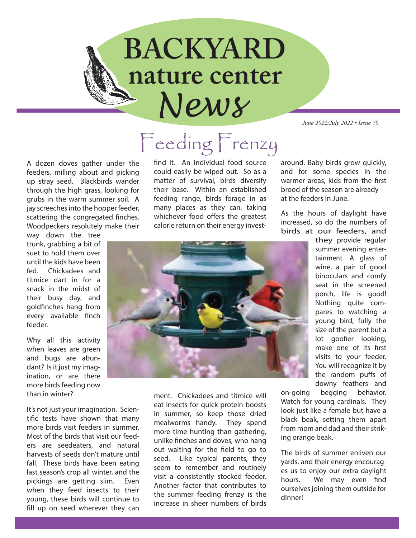## *News* **BACKYARD nature center**

*June 2022/July 2022 • Issue 70*

A dozen doves gather under the feeders, milling about and picking up stray seed. Blackbirds wander through the high grass, looking for grubs in the warm summer soil. A jay screeches into the hopper feeder, scattering the congregated finches. Woodpeckers resolutely make their

way down the tree trunk, grabbing a bit of suet to hold them over until the kids have been fed. Chickadees and titmice dart in for a snack in the midst of their busy day, and goldfinches hang from every available finch feeder.

Why all this activity when leaves are green and bugs are abundant? Is it just my imagination, or are there more birds feeding now than in winter?

It's not just your imagination. Scientific tests have shown that many more birds visit feeders in summer. Most of the birds that visit our feeders are seedeaters, and natural harvests of seeds don't mature until fall. These birds have been eating last season's crop all winter, and the pickings are getting slim. Even when they feed insects to their young, these birds will continue to fill up on seed wherever they can

## Feeding Frenzy

find it. An individual food source could easily be wiped out. So as a matter of survival, birds diversify their base. Within an established feeding range, birds forage in as many places as they can, taking whichever food offers the greatest calorie return on their energy investaround. Baby birds grow quickly, and for some species in the warmer areas, kids from the first brood of the season are already at the feeders in June.

As the hours of daylight have increased, so do the numbers of birds at our feeders, and



ment. Chickadees and titmice will eat insects for quick protein boosts in summer, so keep those dried mealworms handy. They spend more time hunting than gathering, unlike finches and doves, who hang out waiting for the field to go to seed. Like typical parents, they seem to remember and routinely visit a consistently stocked feeder. Another factor that contributes to the summer feeding frenzy is the increase in sheer numbers of birds

they provide regular summer evening entertainment. A glass of wine, a pair of good binoculars and comfy seat in the screened porch, life is good! Nothing quite compares to watching a young bird, fully the size of the parent but a lot goofier looking, make one of its first visits to your feeder. You will recognize it by the random puffs of downy feathers and

on-going begging behavior. Watch for young cardinals. They look just like a female but have a black beak, setting them apart from mom and dad and their striking orange beak.

The birds of summer enliven our yards, and their energy encourages us to enjoy our extra daylight hours. We may even find ourselves joining them outside for dinner!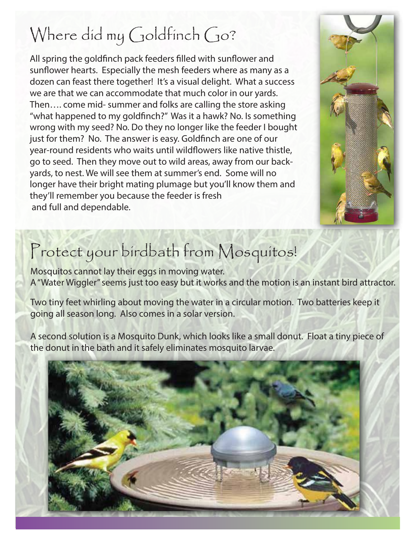## Where did my Goldfinch Go?

All spring the goldfinch pack feeders filled with sunflower and sunflower hearts. Especially the mesh feeders where as many as a dozen can feast there together! It's a visual delight. What a success we are that we can accommodate that much color in our yards. Then…. come mid- summer and folks are calling the store asking "what happened to my goldfinch?" Was it a hawk? No. Is something wrong with my seed? No. Do they no longer like the feeder I bought just for them? No. The answer is easy. Goldfinch are one of our year-round residents who waits until wildflowers like native thistle, go to seed. Then they move out to wild areas, away from our backyards, to nest. We will see them at summer's end. Some will no longer have their bright mating plumage but you'll know them and they'll remember you because the feeder is fresh and full and dependable.



### Protect your birdbath from Mosquitos!

Mosquitos cannot lay their eggs in moving water. A "Water Wiggler" seems just too easy but it works and the motion is an instant bird attractor.

Two tiny feet whirling about moving the water in a circular motion. Two batteries keep it going all season long. Also comes in a solar version.

A second solution is a Mosquito Dunk, which looks like a small donut. Float a tiny piece of the donut in the bath and it safely eliminates mosquito larvae.

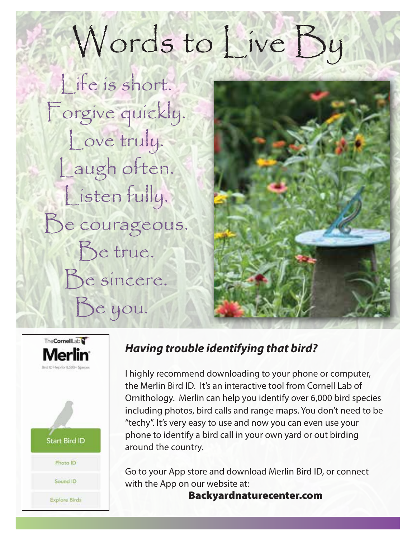# Words to Live By

Life is short. Forgive quickly. Love truly. Laugh often. Listen fully. Be courageous. Be true. Be sincere. Be you.





#### *Having trouble identifying that bird?*

I highly recommend downloading to your phone or computer, the Merlin Bird ID. It's an interactive tool from Cornell Lab of Ornithology. Merlin can help you identify over 6,000 bird species including photos, bird calls and range maps. You don't need to be "techy". It's very easy to use and now you can even use your phone to identify a bird call in your own yard or out birding around the country.

Go to your App store and download Merlin Bird ID, or connect with the App on our website at:

Backyardnaturecenter.com